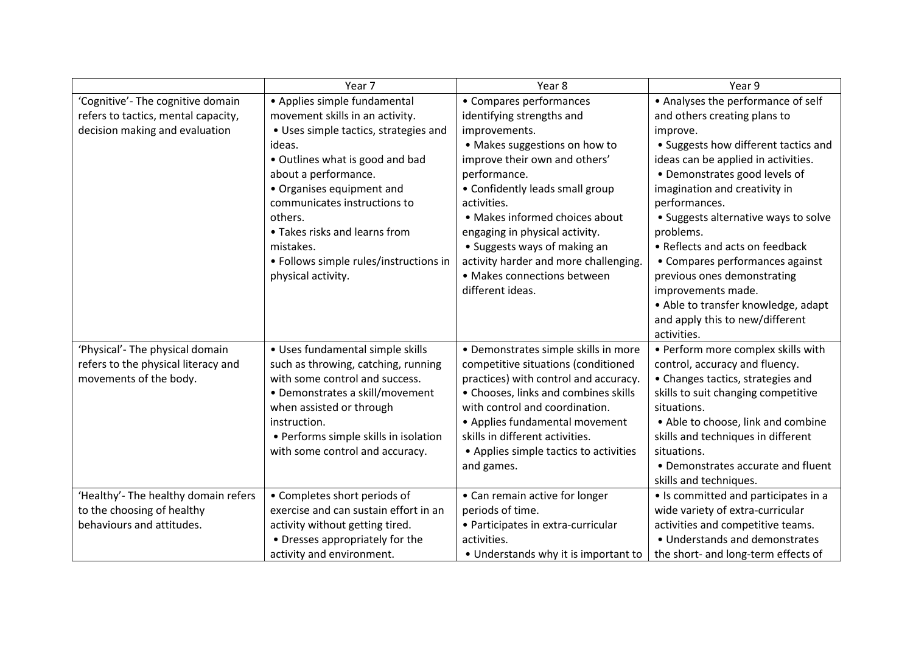|                                      | Year <sub>7</sub>                      | Year 8                                 | Year 9                               |
|--------------------------------------|----------------------------------------|----------------------------------------|--------------------------------------|
| 'Cognitive'- The cognitive domain    | • Applies simple fundamental           | • Compares performances                | • Analyses the performance of self   |
| refers to tactics, mental capacity,  | movement skills in an activity.        | identifying strengths and              | and others creating plans to         |
| decision making and evaluation       | • Uses simple tactics, strategies and  | improvements.                          | improve.                             |
|                                      | ideas.                                 | • Makes suggestions on how to          | • Suggests how different tactics and |
|                                      | • Outlines what is good and bad        | improve their own and others'          | ideas can be applied in activities.  |
|                                      | about a performance.                   | performance.                           | • Demonstrates good levels of        |
|                                      | • Organises equipment and              | • Confidently leads small group        | imagination and creativity in        |
|                                      | communicates instructions to           | activities.                            | performances.                        |
|                                      | others.                                | • Makes informed choices about         | • Suggests alternative ways to solve |
|                                      | • Takes risks and learns from          | engaging in physical activity.         | problems.                            |
|                                      | mistakes.                              | • Suggests ways of making an           | • Reflects and acts on feedback      |
|                                      | • Follows simple rules/instructions in | activity harder and more challenging.  | • Compares performances against      |
|                                      | physical activity.                     | • Makes connections between            | previous ones demonstrating          |
|                                      |                                        | different ideas.                       | improvements made.                   |
|                                      |                                        |                                        | • Able to transfer knowledge, adapt  |
|                                      |                                        |                                        | and apply this to new/different      |
|                                      |                                        |                                        | activities.                          |
| 'Physical'- The physical domain      | • Uses fundamental simple skills       | • Demonstrates simple skills in more   | • Perform more complex skills with   |
| refers to the physical literacy and  | such as throwing, catching, running    | competitive situations (conditioned    | control, accuracy and fluency.       |
| movements of the body.               | with some control and success.         | practices) with control and accuracy.  | • Changes tactics, strategies and    |
|                                      | • Demonstrates a skill/movement        | • Chooses, links and combines skills   | skills to suit changing competitive  |
|                                      | when assisted or through               | with control and coordination.         | situations.                          |
|                                      | instruction.                           | • Applies fundamental movement         | • Able to choose, link and combine   |
|                                      | • Performs simple skills in isolation  | skills in different activities.        | skills and techniques in different   |
|                                      | with some control and accuracy.        | • Applies simple tactics to activities | situations.                          |
|                                      |                                        | and games.                             | • Demonstrates accurate and fluent   |
|                                      |                                        |                                        | skills and techniques.               |
| 'Healthy'- The healthy domain refers | • Completes short periods of           | • Can remain active for longer         | • Is committed and participates in a |
| to the choosing of healthy           | exercise and can sustain effort in an  | periods of time.                       | wide variety of extra-curricular     |
| behaviours and attitudes.            | activity without getting tired.        | • Participates in extra-curricular     | activities and competitive teams.    |
|                                      | • Dresses appropriately for the        | activities.                            | • Understands and demonstrates       |
|                                      | activity and environment.              | • Understands why it is important to   | the short- and long-term effects of  |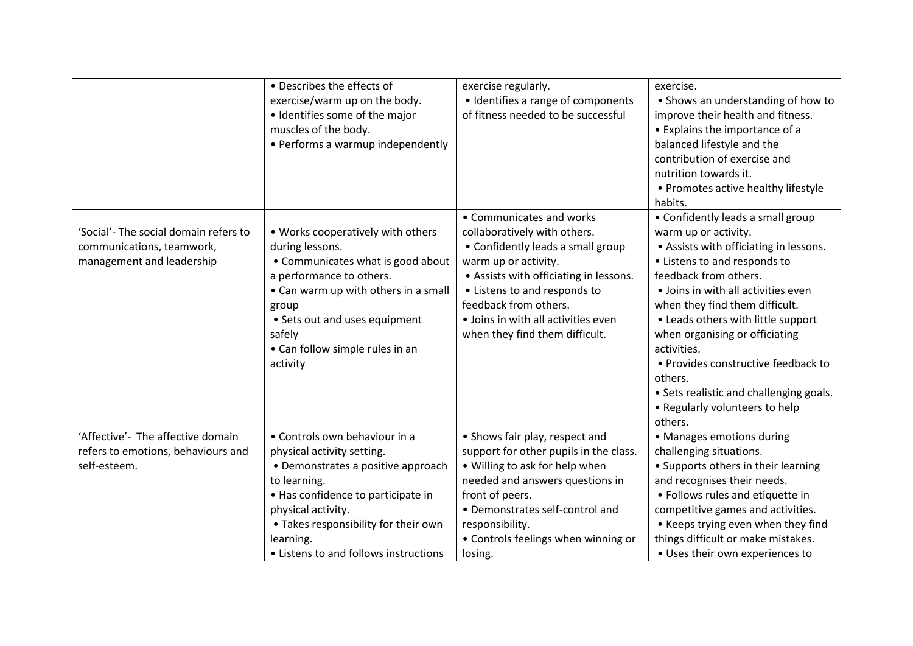|                                                                                                 | • Describes the effects of<br>exercise/warm up on the body.<br>• Identifies some of the major<br>muscles of the body.<br>• Performs a warmup independently                                                                                                                  | exercise regularly.<br>• Identifies a range of components<br>of fitness needed to be successful                                                                                                                                                                                                   | exercise.<br>• Shows an understanding of how to<br>improve their health and fitness.<br>• Explains the importance of a<br>balanced lifestyle and the<br>contribution of exercise and<br>nutrition towards it.<br>• Promotes active healthy lifestyle<br>habits.                                                                                                                                                                                                        |
|-------------------------------------------------------------------------------------------------|-----------------------------------------------------------------------------------------------------------------------------------------------------------------------------------------------------------------------------------------------------------------------------|---------------------------------------------------------------------------------------------------------------------------------------------------------------------------------------------------------------------------------------------------------------------------------------------------|------------------------------------------------------------------------------------------------------------------------------------------------------------------------------------------------------------------------------------------------------------------------------------------------------------------------------------------------------------------------------------------------------------------------------------------------------------------------|
| 'Social'- The social domain refers to<br>communications, teamwork,<br>management and leadership | • Works cooperatively with others<br>during lessons.<br>• Communicates what is good about<br>a performance to others.<br>• Can warm up with others in a small<br>group<br>• Sets out and uses equipment<br>safely<br>• Can follow simple rules in an<br>activity            | • Communicates and works<br>collaboratively with others.<br>• Confidently leads a small group<br>warm up or activity.<br>• Assists with officiating in lessons.<br>• Listens to and responds to<br>feedback from others.<br>· Joins in with all activities even<br>when they find them difficult. | • Confidently leads a small group<br>warm up or activity.<br>• Assists with officiating in lessons.<br>• Listens to and responds to<br>feedback from others.<br>• Joins in with all activities even<br>when they find them difficult.<br>• Leads others with little support<br>when organising or officiating<br>activities.<br>• Provides constructive feedback to<br>others.<br>• Sets realistic and challenging goals.<br>• Regularly volunteers to help<br>others. |
| 'Affective'- The affective domain<br>refers to emotions, behaviours and<br>self-esteem.         | • Controls own behaviour in a<br>physical activity setting.<br>• Demonstrates a positive approach<br>to learning.<br>• Has confidence to participate in<br>physical activity.<br>• Takes responsibility for their own<br>learning.<br>• Listens to and follows instructions | • Shows fair play, respect and<br>support for other pupils in the class.<br>• Willing to ask for help when<br>needed and answers questions in<br>front of peers.<br>• Demonstrates self-control and<br>responsibility.<br>• Controls feelings when winning or<br>losing.                          | • Manages emotions during<br>challenging situations.<br>• Supports others in their learning<br>and recognises their needs.<br>• Follows rules and etiquette in<br>competitive games and activities.<br>• Keeps trying even when they find<br>things difficult or make mistakes.<br>• Uses their own experiences to                                                                                                                                                     |